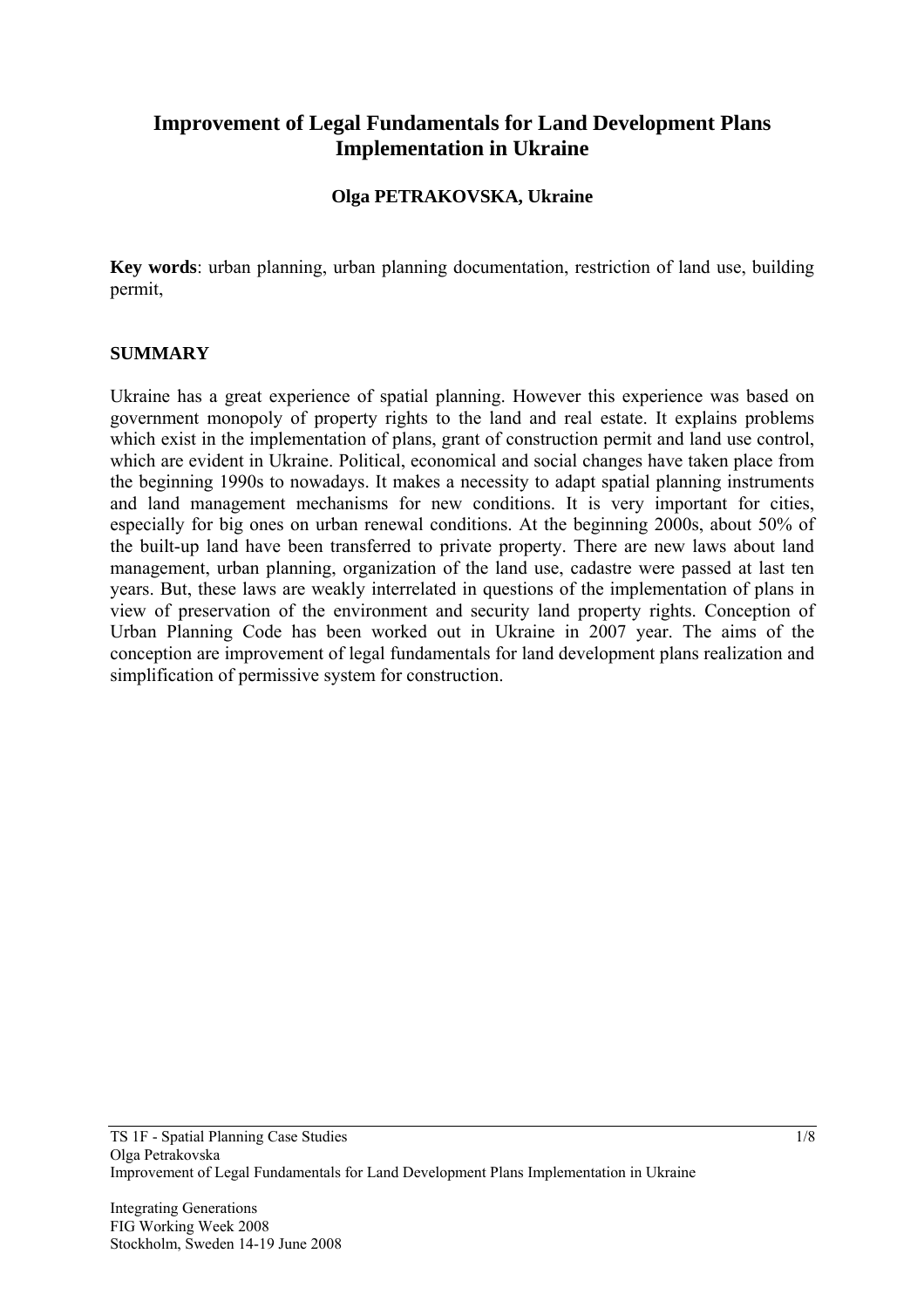# **Improvement of Legal Fundamentals for Land Development Plans Implementation in Ukraine**

### **Olga PETRAKOVSKA, Ukraine**

**Key words**: urban planning, urban planning documentation, restriction of land use, building permit,

#### **SUMMARY**

Ukraine has a great experience of spatial planning. However this experience was based on government monopoly of property rights to the land and real estate. It explains problems which exist in the implementation of plans, grant of construction permit and land use control, which are evident in Ukraine. Political, economical and social changes have taken place from the beginning 1990s to nowadays. It makes a necessity to adapt spatial planning instruments and land management mechanisms for new conditions. It is very important for cities, especially for big ones on urban renewal conditions. At the beginning 2000s, about 50% of the built-up land have been transferred to private property. There are new laws about land management, urban planning, organization of the land use, cadastre were passed at last ten years. But, these laws are weakly interrelated in questions of the implementation of plans in view of preservation of the environment and security land property rights. Conception of Urban Planning Code has been worked out in Ukraine in 2007 year. The aims of the conception are improvement of legal fundamentals for land development plans realization and simplification of permissive system for construction.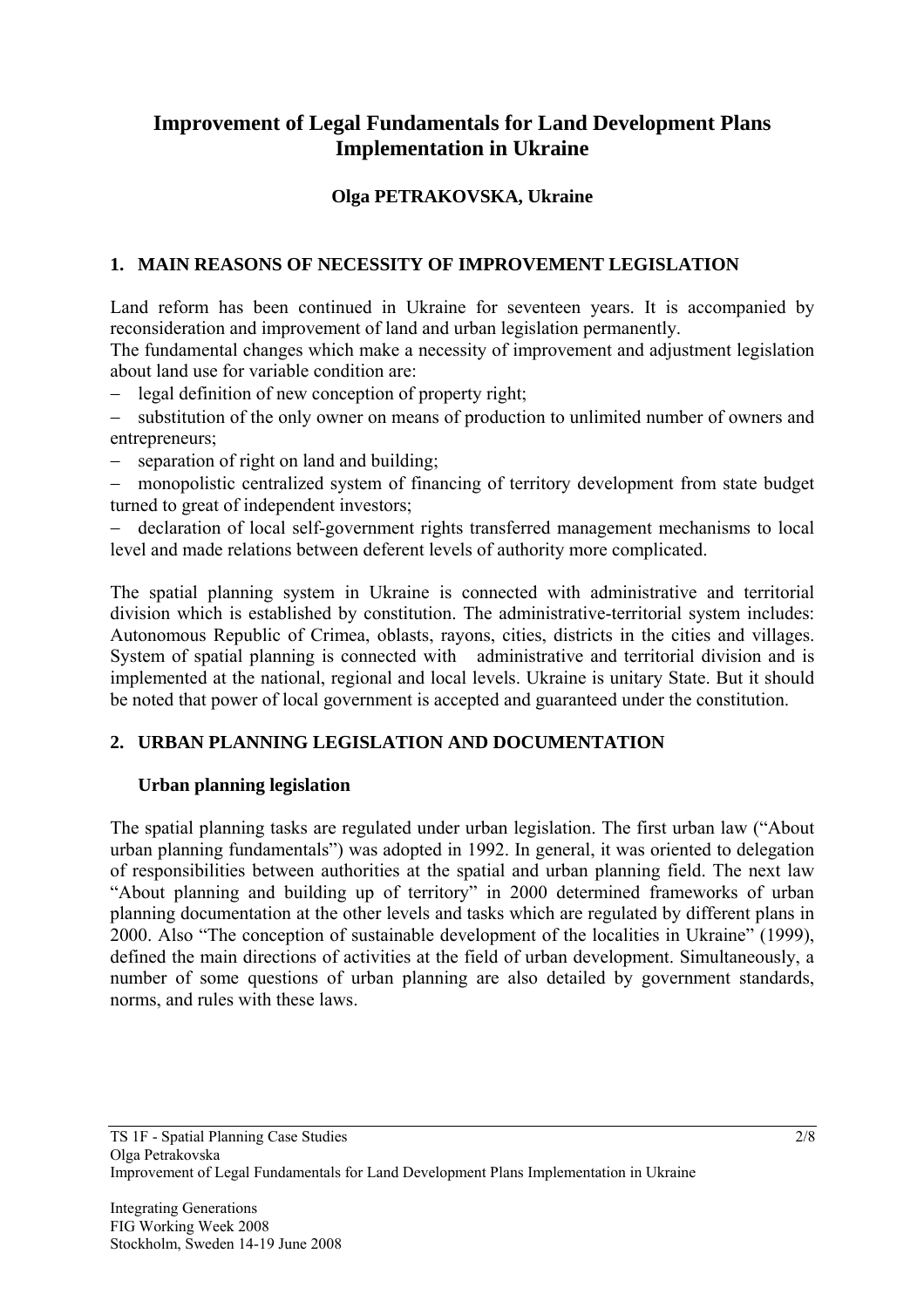# **Improvement of Legal Fundamentals for Land Development Plans Implementation in Ukraine**

## **Olga PETRAKOVSKA, Ukraine**

### **1. MAIN REASONS OF NECESSITY OF IMPROVEMENT LEGISLATION**

Land reform has been continued in Ukraine for seventeen years. It is accompanied by reconsideration and improvement of land and urban legislation permanently.

The fundamental changes which make a necessity of improvement and adjustment legislation about land use for variable condition are:

- − legal definition of new conception of property right;
- substitution of the only owner on means of production to unlimited number of owners and entrepreneurs;
- − separation of right on land and building;
- − monopolistic centralized system of financing of territory development from state budget turned to great of independent investors;

− declaration of local self-government rights transferred management mechanisms to local level and made relations between deferent levels of authority more complicated.

The spatial planning system in Ukraine is connected with administrative and territorial division which is established by constitution. The administrative-territorial system includes: Autonomous Republic of Crimea, oblasts, rayons, cities, districts in the cities and villages. System of spatial planning is connected with administrative and territorial division and is implemented at the national, regional and local levels. Ukraine is unitary State. But it should be noted that power of local government is accepted and guaranteed under the constitution.

#### **2. URBAN PLANNING LEGISLATION AND DOCUMENTATION**

#### **Urban planning legislation**

The spatial planning tasks are regulated under urban legislation. The first urban law ("About urban planning fundamentals") was adopted in 1992. In general, it was oriented to delegation of responsibilities between authorities at the spatial and urban planning field. The next law "About planning and building up of territory" in 2000 determined frameworks of urban planning documentation at the other levels and tasks which are regulated by different plans in 2000. Also "The conception of sustainable development of the localities in Ukraine" (1999), defined the main directions of activities at the field of urban development. Simultaneously, a number of some questions of urban planning are also detailed by government standards, norms, and rules with these laws.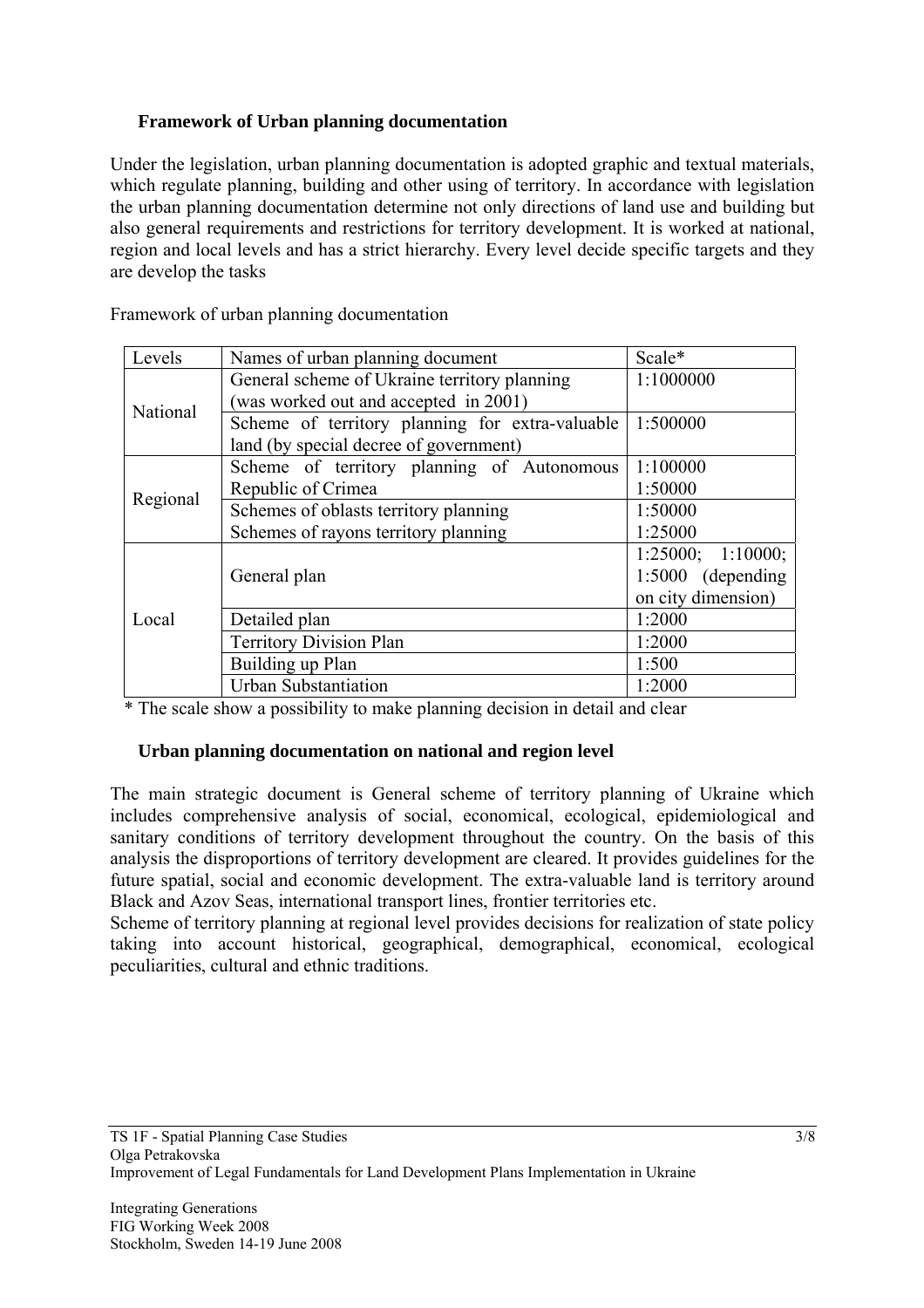## **Framework of Urban planning documentation**

Under the legislation, urban planning documentation is adopted graphic and textual materials, which regulate planning, building and other using of territory. In accordance with legislation the urban planning documentation determine not only directions of land use and building but also general requirements and restrictions for territory development. It is worked at national, region and local levels and has a strict hierarchy. Every level decide specific targets and they are develop the tasks

| Levels   | Names of urban planning document                | Scale*              |
|----------|-------------------------------------------------|---------------------|
| National | General scheme of Ukraine territory planning    | 1:1000000           |
|          | (was worked out and accepted in 2001)           |                     |
|          | Scheme of territory planning for extra-valuable | 1:500000            |
|          | land (by special decree of government)          |                     |
| Regional | Scheme of territory planning of Autonomous      | 1:100000            |
|          | Republic of Crimea                              | 1:50000             |
|          | Schemes of oblasts territory planning           | 1:50000             |
|          | Schemes of rayons territory planning            | 1:25000             |
| Local    |                                                 | 1:25000; 1:10000;   |
|          | General plan                                    | $1:5000$ (depending |
|          |                                                 | on city dimension)  |
|          | Detailed plan                                   | 1:2000              |
|          | <b>Territory Division Plan</b>                  | 1:2000              |
|          | Building up Plan                                | 1:500               |
|          | <b>Urban Substantiation</b>                     | 1:2000              |

Framework of urban planning documentation

\* The scale show a possibility to make planning decision in detail and clear

#### **Urban planning documentation on national and region level**

The main strategic document is General scheme of territory planning of Ukraine which includes comprehensive analysis of social, economical, ecological, epidemiological and sanitary conditions of territory development throughout the country. On the basis of this analysis the disproportions of territory development are cleared. It provides guidelines for the future spatial, social and economic development. The extra-valuable land is territory around Black and Azov Seas, international transport lines, frontier territories etc.

Scheme of territory planning at regional level provides decisions for realization of state policy taking into account historical, geographical, demographical, economical, ecological peculiarities, cultural and ethnic traditions.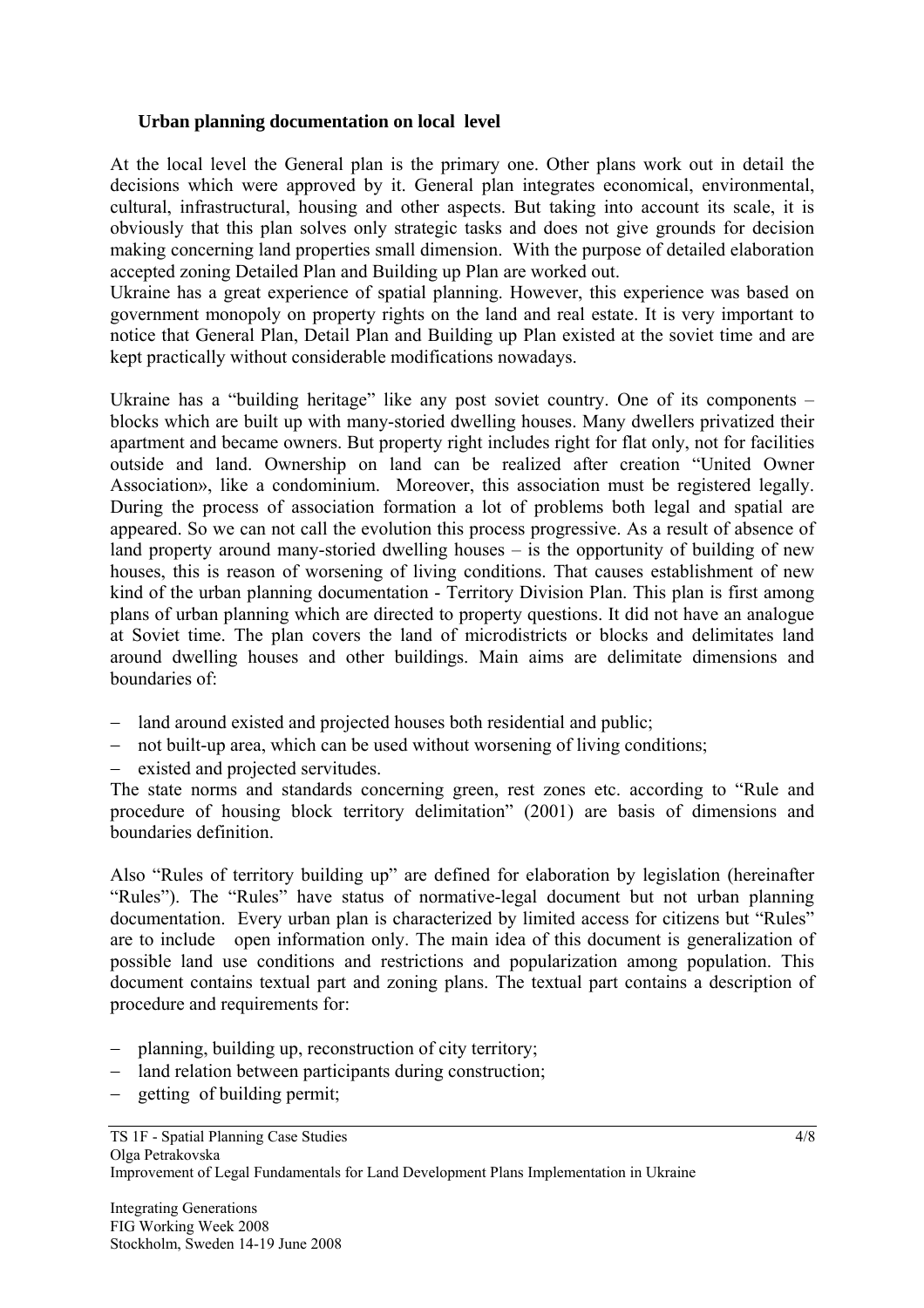#### **Urban planning documentation on local level**

At the local level the General plan is the primary one. Other plans work out in detail the decisions which were approved by it. General plan integrates economical, environmental, cultural, infrastructural, housing and other aspects. But taking into account its scale, it is obviously that this plan solves only strategic tasks and does not give grounds for decision making concerning land properties small dimension. With the purpose of detailed elaboration accepted zoning Detailed Plan and Building up Plan are worked out.

Ukraine has a great experience of spatial planning. However, this experience was based on government monopoly on property rights on the land and real estate. It is very important to notice that General Plan, Detail Plan and Building up Plan existed at the soviet time and are kept practically without considerable modifications nowadays.

Ukraine has a "building heritage" like any post soviet country. One of its components – blocks which are built up with many-storied dwelling houses. Many dwellers privatized their apartment and became owners. But property right includes right for flat only, not for facilities outside and land. Ownership on land can be realized after creation "United Owner Association», like a condominium. Moreover, this association must be registered legally. During the process of association formation a lot of problems both legal and spatial are appeared. So we can not call the evolution this process progressive. As a result of absence of land property around many-storied dwelling houses – is the opportunity of building of new houses, this is reason of worsening of living conditions. That causes establishment of new kind of the urban planning documentation - Territory Division Plan. This plan is first among plans of urban planning which are directed to property questions. It did not have an analogue at Soviet time. The plan covers the land of microdistricts or blocks and delimitates land around dwelling houses and other buildings. Main aims are delimitate dimensions and boundaries of:

- − land around existed and projected houses both residential and public;
- − not built-up area, which can be used without worsening of living conditions;
- − existed and projected servitudes.

The state norms and standards concerning green, rest zones etc. according to "Rule and procedure of housing block territory delimitation" (2001) are basis of dimensions and boundaries definition.

Also "Rules of territory building up" are defined for elaboration by legislation (hereinafter "Rules"). The "Rules" have status of normative-legal document but not urban planning documentation. Every urban plan is characterized by limited access for citizens but "Rules" are to include open information only. The main idea of this document is generalization of possible land use conditions and restrictions and popularization among population. This document contains textual part and zoning plans. The textual part contains a description of procedure and requirements for:

- − planning, building up, reconstruction of city territory;
- − land relation between participants during construction;
- − getting of building permit;

4/8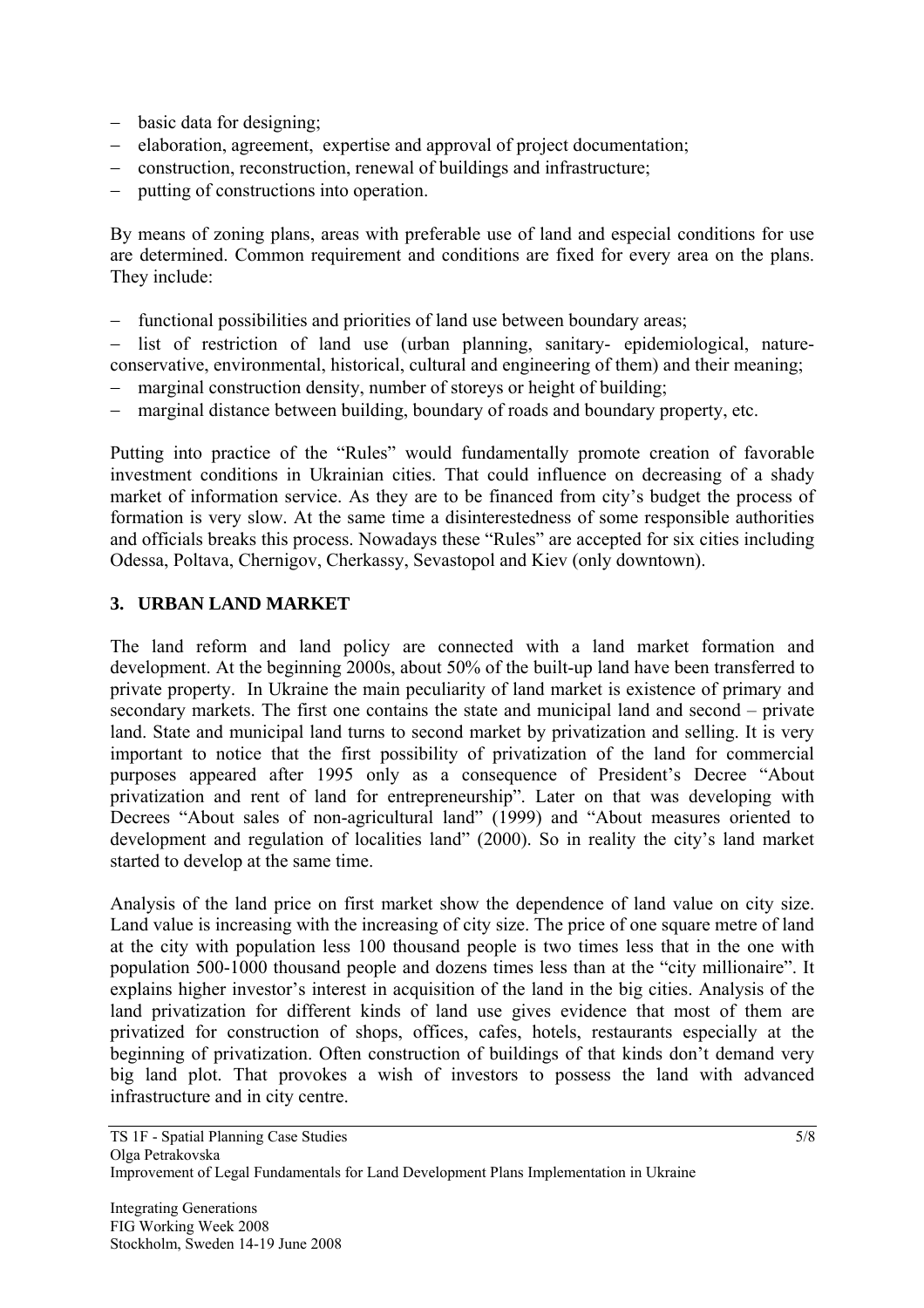- − basic data for designing;
- − elaboration, agreement, expertise and approval of project documentation;
- − construction, reconstruction, renewal of buildings and infrastructure;
- − putting of constructions into operation.

By means of zoning plans, areas with preferable use of land and especial conditions for use are determined. Common requirement and conditions are fixed for every area on the plans. They include:

− functional possibilities and priorities of land use between boundary areas;

− list of restriction of land use (urban planning, sanitary- epidemiological, natureconservative, environmental, historical, cultural and engineering of them) and their meaning;

- − marginal construction density, number of storeys or height of building;
- narginal distance between building, boundary of roads and boundary property, etc.

Putting into practice of the "Rules" would fundamentally promote creation of favorable investment conditions in Ukrainian cities. That could influence on decreasing of a shady market of information service. As they are to be financed from city's budget the process of formation is very slow. At the same time a disinterestedness of some responsible authorities and officials breaks this process. Nowadays these "Rules" are accepted for six cities including Odessa, Poltava, Chernigov, Cherkassy, Sevastopol and Kiev (only downtown).

#### **3. URBAN LAND MARKET**

The land reform and land policy are connected with a land market formation and development. At the beginning 2000s, about 50% of the built-up land have been transferred to private property. In Ukraine the main peculiarity of land market is existence of primary and secondary markets. The first one contains the state and municipal land and second – private land. State and municipal land turns to second market by privatization and selling. It is very important to notice that the first possibility of privatization of the land for commercial purposes appeared after 1995 only as a consequence of President's Decree "About privatization and rent of land for entrepreneurship". Later on that was developing with Decrees "About sales of non-agricultural land" (1999) and "About measures oriented to development and regulation of localities land" (2000). So in reality the city's land market started to develop at the same time.

Analysis of the land price on first market show the dependence of land value on city size. Land value is increasing with the increasing of city size. The price of one square metre of land at the city with population less 100 thousand people is two times less that in the one with population 500-1000 thousand people and dozens times less than at the "city millionaire". It explains higher investor's interest in acquisition of the land in the big cities. Analysis of the land privatization for different kinds of land use gives evidence that most of them are privatized for construction of shops, offices, cafes, hotels, restaurants especially at the beginning of privatization. Often construction of buildings of that kinds don't demand very big land plot. That provokes a wish of investors to possess the land with advanced infrastructure and in city centre.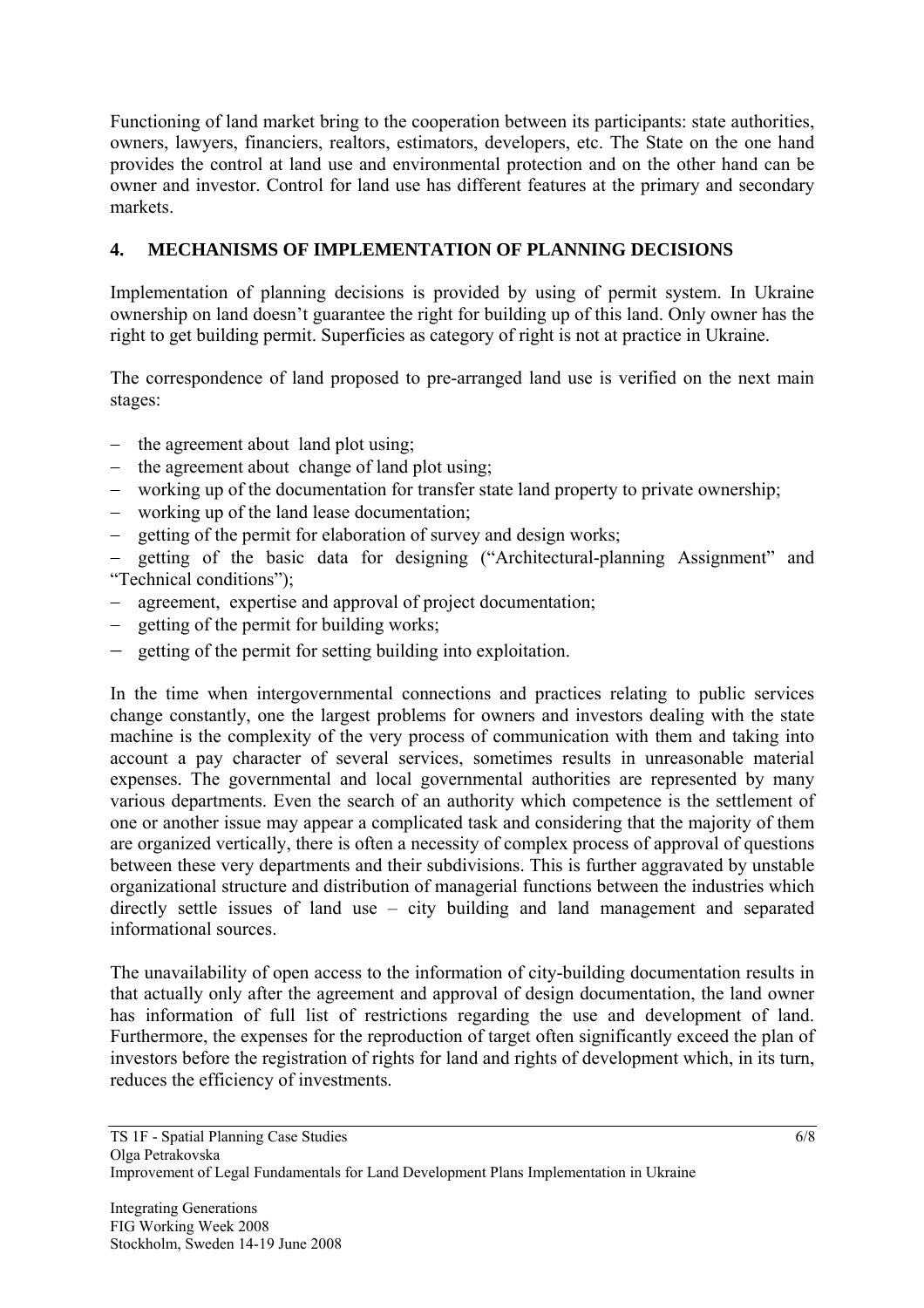Functioning of land market bring to the cooperation between its participants: state authorities, owners, lawyers, financiers, realtors, estimators, developers, etc. The State on the one hand provides the control at land use and environmental protection and on the other hand can be owner and investor. Control for land use has different features at the primary and secondary markets.

## **4. MECHANISMS OF IMPLEMENTATION OF PLANNING DECISIONS**

Implementation of planning decisions is provided by using of permit system. In Ukraine ownership on land doesn't guarantee the right for building up of this land. Only owner has the right to get building permit. Superficies as category of right is not at practice in Ukraine.

The correspondence of land proposed to pre-arranged land use is verified on the next main stages:

- − the agreement about land plot using;
- − the agreement about change of land plot using;
- − working up of the documentation for transfer state land property to private ownership;
- − working up of the land lease documentation;
- − getting of the permit for elaboration of survey and design works;

getting of the basic data for designing ("Architectural-planning Assignment" and "Technical conditions");

- − agreement, expertise and approval of project documentation;
- − getting of the permit for building works;
- − getting of the permit for setting building into exploitation.

In the time when intergovernmental connections and practices relating to public services change constantly, one the largest problems for owners and investors dealing with the state machine is the complexity of the very process of communication with them and taking into account a pay character of several services, sometimes results in unreasonable material expenses. The governmental and local governmental authorities are represented by many various departments. Even the search of an authority which competence is the settlement of one or another issue may appear a complicated task and considering that the majority of them are organized vertically, there is often a necessity of complex process of approval of questions between these very departments and their subdivisions. This is further aggravated by unstable organizational structure and distribution of managerial functions between the industries which directly settle issues of land use – city building and land management and separated informational sources.

The unavailability of open access to the information of city-building documentation results in that actually only after the agreement and approval of design documentation, the land owner has information of full list of restrictions regarding the use and development of land. Furthermore, the expenses for the reproduction of target often significantly exceed the plan of investors before the registration of rights for land and rights of development which, in its turn, reduces the efficiency of investments.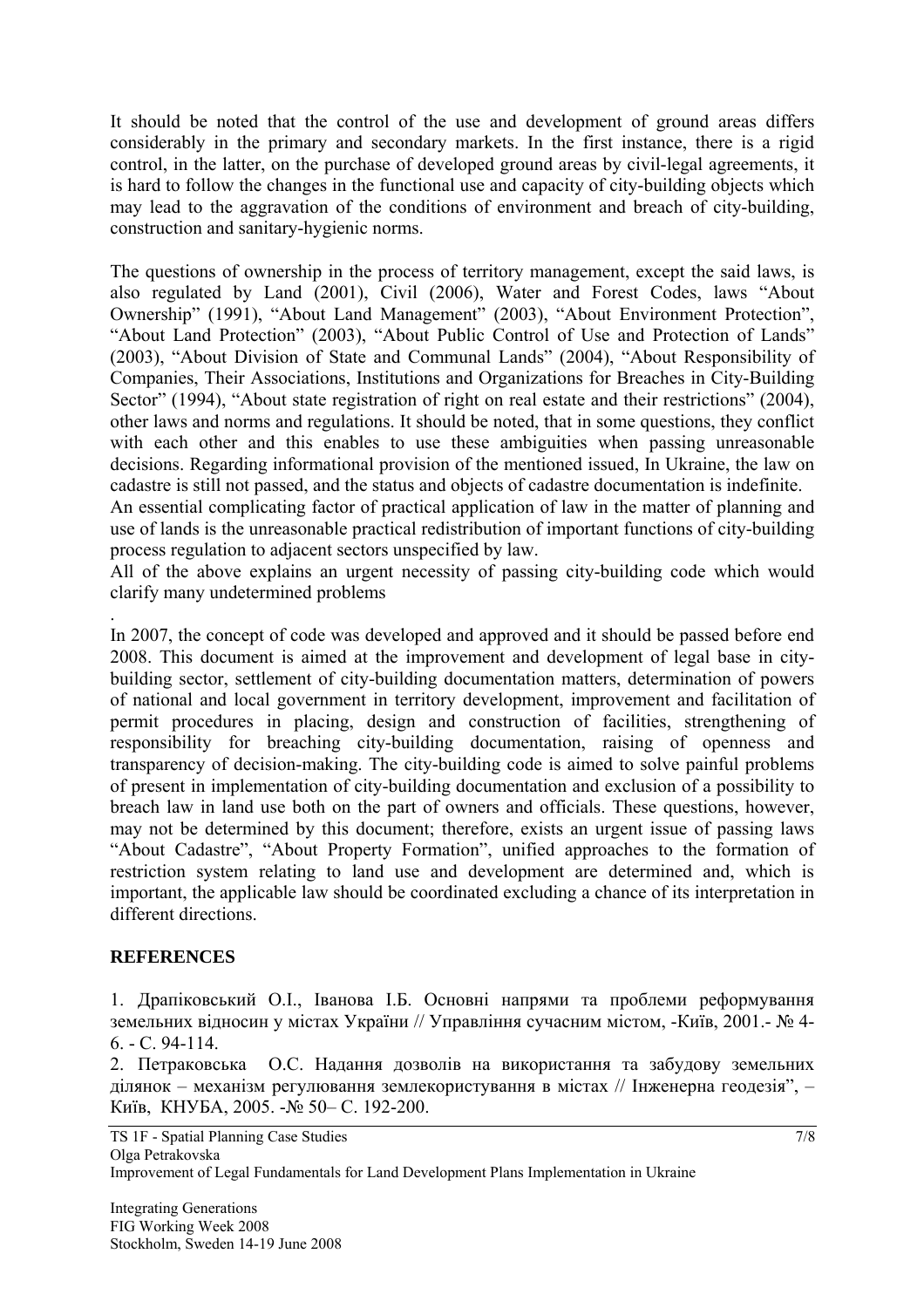It should be noted that the control of the use and development of ground areas differs considerably in the primary and secondary markets. In the first instance, there is a rigid control, in the latter, on the purchase of developed ground areas by civil-legal agreements, it is hard to follow the changes in the functional use and capacity of city-building objects which may lead to the aggravation of the conditions of environment and breach of city-building, construction and sanitary-hygienic norms.

The questions of ownership in the process of territory management, except the said laws, is also regulated by Land (2001), Civil (2006), Water and Forest Codes, laws "About Ownership" (1991), "About Land Management" (2003), "About Environment Protection", "About Land Protection" (2003), "About Public Control of Use and Protection of Lands" (2003), "About Division of State and Communal Lands" (2004), "About Responsibility of Companies, Their Associations, Institutions and Organizations for Breaches in City-Building Sector" (1994), "About state registration of right on real estate and their restrictions" (2004), other laws and norms and regulations. It should be noted, that in some questions, they conflict with each other and this enables to use these ambiguities when passing unreasonable decisions. Regarding informational provision of the mentioned issued, In Ukraine, the law on cadastre is still not passed, and the status and objects of cadastre documentation is indefinite.

An essential complicating factor of practical application of law in the matter of planning and use of lands is the unreasonable practical redistribution of important functions of city-building process regulation to adjacent sectors unspecified by law.

All of the above explains an urgent necessity of passing city-building code which would clarify many undetermined problems

In 2007, the concept of code was developed and approved and it should be passed before end 2008. This document is aimed at the improvement and development of legal base in citybuilding sector, settlement of city-building documentation matters, determination of powers of national and local government in territory development, improvement and facilitation of permit procedures in placing, design and construction of facilities, strengthening of responsibility for breaching city-building documentation, raising of openness and transparency of decision-making. The city-building code is aimed to solve painful problems of present in implementation of city-building documentation and exclusion of a possibility to breach law in land use both on the part of owners and officials. These questions, however, may not be determined by this document; therefore, exists an urgent issue of passing laws "About Cadastre", "About Property Formation", unified approaches to the formation of restriction system relating to land use and development are determined and, which is important, the applicable law should be coordinated excluding a chance of its interpretation in different directions.

## **REFERENCES**

.

1. Драпіковський О.І., Іванова І.Б. Основні напрями та проблеми реформування земельних відносин у містах України // Управління сучасним містом, -Київ, 2001.- № 4- 6. - С. 94-114.

2. Петраковська O.С. Надання дозволів на використання та забудову земельних ділянок – механізм регулювання землекористування в містах // Інженерна геодезія", – Київ, КНУБА, 2005. -№ 50– С. 192-200.